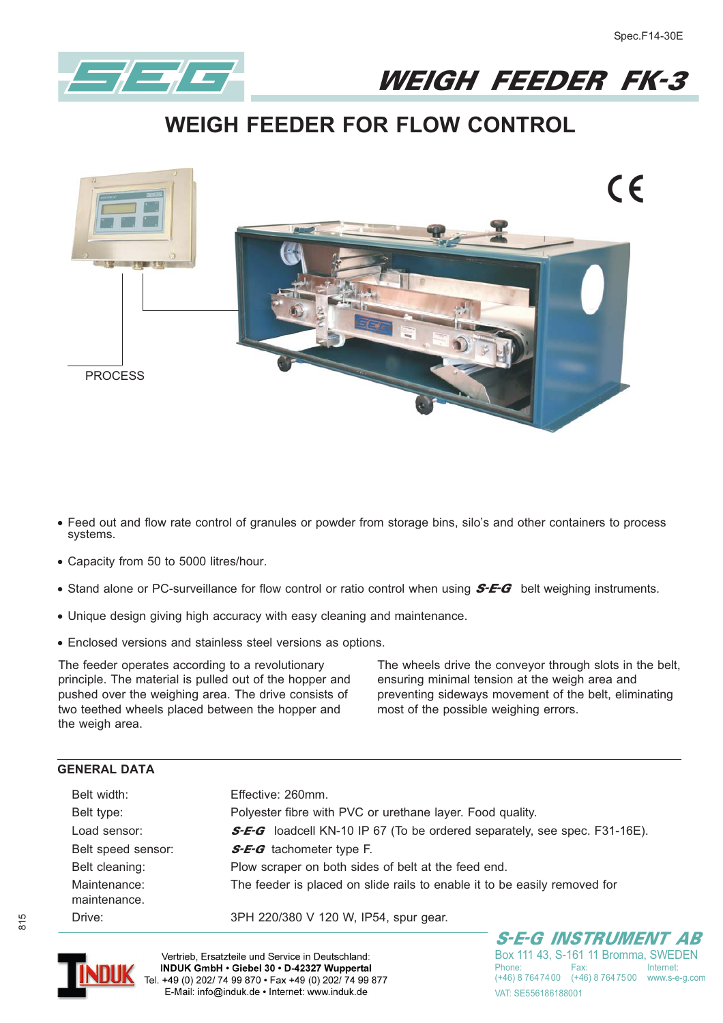

## WEIGH FEEDER FK-3

## **WEIGH FEEDER FOR FLOW CONTROL**



- **- Feed out and flow rate control of granules or powder from storage bins, silo's and other containers to process systems.**
- **- Capacity from 50 to 5000 litres/hour.**
- **•** Stand alone or PC-surveillance for flow control or ratio control when using **S-E-G** belt weighing instruments.
- **- Unique design giving high accuracy with easy cleaning and maintenance.**
- **- Enclosed versions and stainless steel versions as options.**

The feeder operates according to a revolutionary principle. The material is pulled out of the hopper and pushed over the weighing area. The drive consists of two teethed wheels placed between the hopper and the weigh area.

The wheels drive the conveyor through slots in the belt, ensuring minimal tension at the weigh area and preventing sideways movement of the belt, eliminating most of the possible weighing errors.

## **GENERAL DATA**

| Belt width:                  | Effective: 260mm.                                                                |  |  |  |
|------------------------------|----------------------------------------------------------------------------------|--|--|--|
| Belt type:                   | Polyester fibre with PVC or urethane layer. Food quality.                        |  |  |  |
| Load sensor:                 | <b>S-E-G</b> loadcell KN-10 IP 67 (To be ordered separately, see spec. F31-16E). |  |  |  |
| Belt speed sensor:           | <b>S-E-G</b> tachometer type F.                                                  |  |  |  |
| Belt cleaning:               | Plow scraper on both sides of belt at the feed end.                              |  |  |  |
| Maintenance:<br>maintenance. | The feeder is placed on slide rails to enable it to be easily removed for        |  |  |  |
| Drive:                       | 3PH 220/380 V 120 W, IP54, spur gear.                                            |  |  |  |



Vertrieb, Ersatzteile und Service in Deutschland:<br>INDUK GmbH • Giebel 30 • D-42327 Wuppertal Tel. +49 (0) 202/ 74 99 870 • Fax +49 (0) 202/ 74 99 877<br>E-Mail: info@induk.de • Internet: www.induk.de

S-E-G INSTRUMENT AB Box 111 43, S-161 11 Bromma, SWEDEN Phone: Fax: Internet:<br>(+46) 8.764.74.00 (+46) 8.764.75.00 MANN S-0-0.00 (+46) 8 764 74 00 (+46) 8 764 75 00 www.s-e-g.com